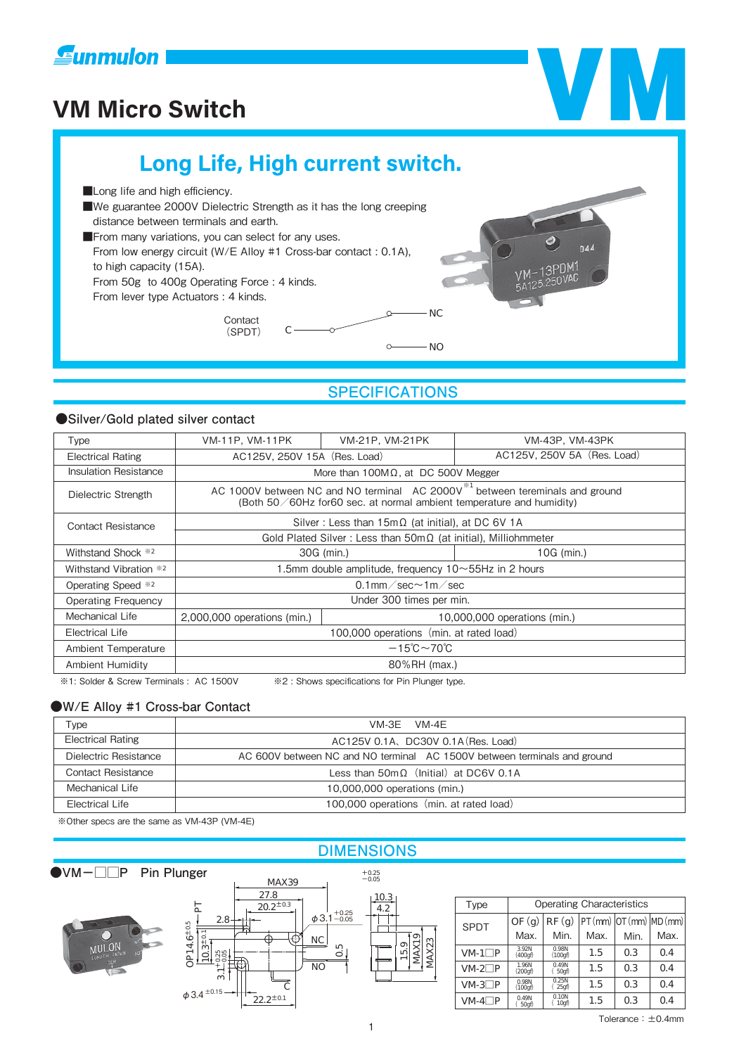

# **VM Micro Switch VM Long Life, High current switch. Long life and high efficiency.** ■We guarantee 2000V Dielectric Strength as it has the long creeping distance between terminals and earth. ■From many variations, you can select for any uses. From low energy circuit (W/E Alloy #1 Cross-bar contact : 0.1A), to high capacity (15A). From 50g to 400g Operating Force : 4 kinds. From lever type Actuators : 4 kinds. NC Contact  $\cap$ (SPDT)  $\circ$ NO

# **SPECIFICATIONS**

## **●Silver/Gold plated silver contact**

| <b>Type</b>                  | VM-11P, VM-11PK                                                                                                                                                  | VM-21P, VM-21PK              | VM-43P, VM-43PK             |  |  |  |  |
|------------------------------|------------------------------------------------------------------------------------------------------------------------------------------------------------------|------------------------------|-----------------------------|--|--|--|--|
| <b>Electrical Rating</b>     | AC125V, 250V 15A (Res. Load)                                                                                                                                     |                              | AC125V, 250V 5A (Res. Load) |  |  |  |  |
| <b>Insulation Resistance</b> | More than $100M\Omega$ , at DC 500V Megger                                                                                                                       |                              |                             |  |  |  |  |
| Dielectric Strength          | AC 1000V between NC and NO terminal AC 2000V <sup>*1</sup> between tereminals and ground<br>(Both 50/60Hz for60 sec. at normal ambient temperature and humidity) |                              |                             |  |  |  |  |
| <b>Contact Resistance</b>    | Silver: Less than $15m\Omega$ (at initial), at DC 6V 1A                                                                                                          |                              |                             |  |  |  |  |
|                              | Gold Plated Silver: Less than $50 \text{m}\Omega$ (at initial), Milliohmmeter                                                                                    |                              |                             |  |  |  |  |
| Withstand Shock *2           |                                                                                                                                                                  | 30G (min.)                   | 10G (min.)                  |  |  |  |  |
| Withstand Vibration *2       | 1.5mm double amplitude, frequency $10 \sim 55$ Hz in 2 hours                                                                                                     |                              |                             |  |  |  |  |
| Operating Speed *2           | 0.1mm $\text{/}$ sec $\sim$ 1m $\text{/}$ sec                                                                                                                    |                              |                             |  |  |  |  |
| <b>Operating Frequency</b>   | Under 300 times per min.                                                                                                                                         |                              |                             |  |  |  |  |
| Mechanical Life              | $2,000,000$ operations (min.)                                                                                                                                    | 10,000,000 operations (min.) |                             |  |  |  |  |
| Electrical Life              | 100,000 operations (min. at rated load)                                                                                                                          |                              |                             |  |  |  |  |
| Ambient Temperature          | $-15^{\circ}$ C $\sim$ 70 $^{\circ}$ C                                                                                                                           |                              |                             |  |  |  |  |
| Ambient Humidity             | 80%RH (max.)                                                                                                                                                     |                              |                             |  |  |  |  |
|                              |                                                                                                                                                                  |                              |                             |  |  |  |  |

※1: Solder & Screw Terminals : AC 1500V ※2 : Shows specifications for Pin Plunger type.

## **●W/E Alloy #1 Cross-bar Contact**

| Type                     | VM-3E VM-4E                                                              |  |  |  |  |
|--------------------------|--------------------------------------------------------------------------|--|--|--|--|
| <b>Electrical Rating</b> | AC125V 0.1A, DC30V 0.1A (Res. Load)                                      |  |  |  |  |
| Dielectric Resistance    | AC 600V between NC and NO terminal AC 1500V between terminals and ground |  |  |  |  |
| Contact Resistance       | Less than $50 \text{m} \Omega$ (Initial) at DC6V 0.1A                    |  |  |  |  |
| Mechanical Life          | 10,000,000 operations (min.)                                             |  |  |  |  |
| Electrical Life          | 100,000 operations (min. at rated load)                                  |  |  |  |  |

※Other specs are the same as VM-43P (VM-4E)

# **DIMENSIONS**



| Type        | <b>Operating Characteristics</b> |                           |      |                |                      |  |
|-------------|----------------------------------|---------------------------|------|----------------|----------------------|--|
| <b>SPDT</b> | OF(d)                            | RF(Q)                     |      |                | PT(mm) OT(mm) MD(mm) |  |
|             | Max.                             | Min.                      | Max. | Min.           | Max.                 |  |
| $M-1$ $P$   | 392N<br>400mm                    | OSBN<br>$\{100$           | 1.5  | OЗ             | O4                   |  |
| $MA2$ $P$   | <b>1.96N</b><br>200f             | O <sub>4</sub> 9N<br>500f | 1.5  | O <sub>3</sub> | O4                   |  |
| $MA3$ $P$   | OSBN<br>100000                   | OZN<br>250                | 1.5  | OЗ             | O4                   |  |
| $MA$ $P$    | O4PN<br>50f                      | O1QN<br>1Quyî             | 1.5  | OЗ             | )4                   |  |

MAX23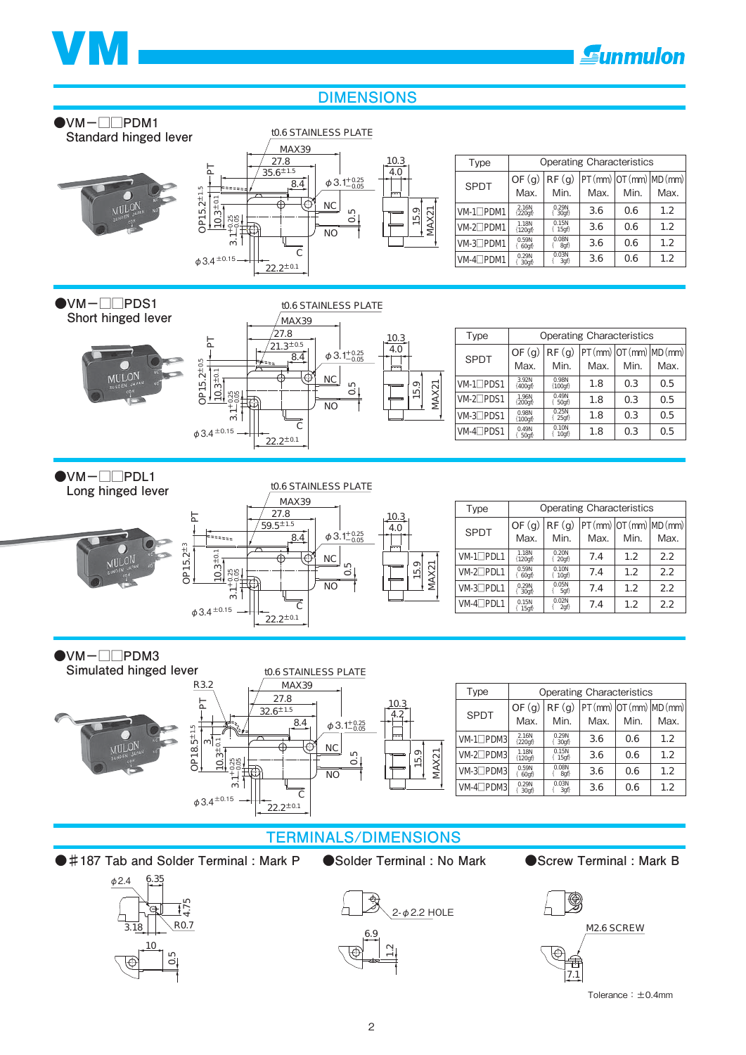



## **DIMENSIONS**





69  $\frac{1}{2}$ 

M2.6SCREW € 7.1

Tolerance: ±0.4mm